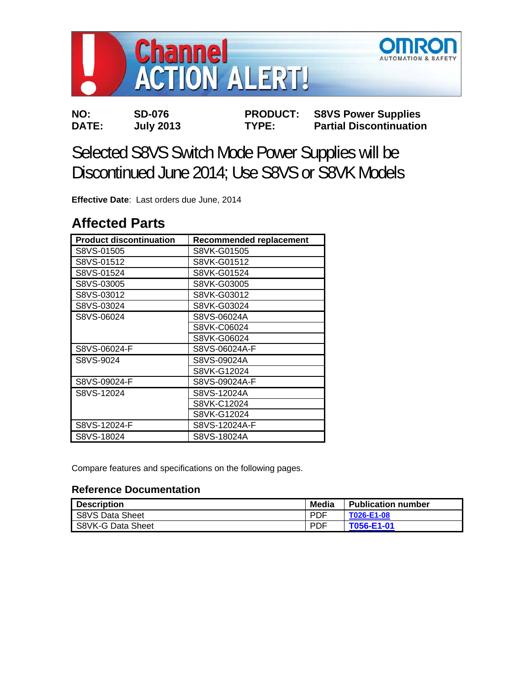

**NO: SD-076 PRODUCT: S8VS Power Supplies DATE: July 2013 TYPE: Partial Discontinuation** 

# Selected S8VS Switch Mode Power Supplies will be Discontinued June 2014; Use S8VS or S8VK Models

**Effective Date**: Last orders due June, 2014

# **Affected Parts**

| <b>Product discontinuation</b> | <b>Recommended replacement</b> |
|--------------------------------|--------------------------------|
| S8VS-01505                     | S8VK-G01505                    |
| S8VS-01512                     | S8VK-G01512                    |
| S8VS-01524                     | S8VK-G01524                    |
| S8VS-03005                     | S8VK-G03005                    |
| S8VS-03012                     | S8VK-G03012                    |
| S8VS-03024                     | S8VK-G03024                    |
| S8VS-06024                     | S8VS-06024A                    |
|                                | S8VK-C06024                    |
|                                | S8VK-G06024                    |
| S8VS-06024-F                   | S8VS-06024A-F                  |
| S8VS-9024                      | S8VS-09024A                    |
|                                | S8VK-G12024                    |
| S8VS-09024-F                   | S8VS-09024A-F                  |
| S8VS-12024                     | S8VS-12024A                    |
|                                | S8VK-C12024                    |
|                                | S8VK-G12024                    |
| S8VS-12024-F                   | S8VS-12024A-F                  |
| S8VS-18024                     | S8VS-18024A                    |

Compare features and specifications on the following pages.

# **Reference Documentation**

| <b>Description</b> | Media      | <b>Publication number</b> |
|--------------------|------------|---------------------------|
| S8VS Data Sheet    | <b>PDF</b> | T026-E1-08                |
| S8VK-G Data Sheet  | <b>PDF</b> | T056-E1-01                |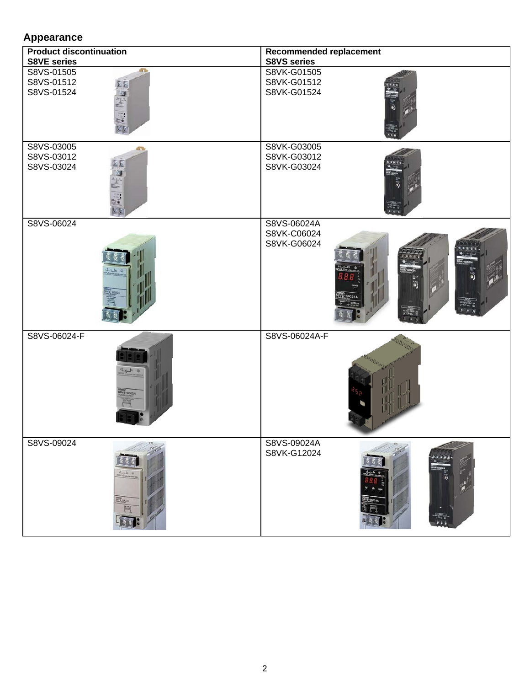# **Appearance**

| <b>Product discontinuation</b>                                                                  | Recommended replacement                                         |  |  |
|-------------------------------------------------------------------------------------------------|-----------------------------------------------------------------|--|--|
| <b>S8VE series</b><br>S8VS-01505<br>43<br>S8VS-01512<br>$\epsilon$<br>S8VS-01524<br>開始<br>e e e | <b>S8VS series</b><br>S8VK-G01505<br>S8VK-G01512<br>S8VK-G01524 |  |  |
| S8VS-03005<br>S8VS-03012<br>S8VS-03024                                                          | S8VK-G03005<br>S8VK-G03012<br>S8VK-G03024                       |  |  |
| S8VS-06024<br>V3-08024                                                                          | S8VS-06024A<br>S8VK-C06024<br>S8VK-G06024                       |  |  |
| S8VS-06024-F<br>Lah<br>WS-06024                                                                 | S8VS-06024A-F                                                   |  |  |
| S8VS-09024<br><b>STESSIN</b>                                                                    | S8VS-09024A<br>S8VK-G12024                                      |  |  |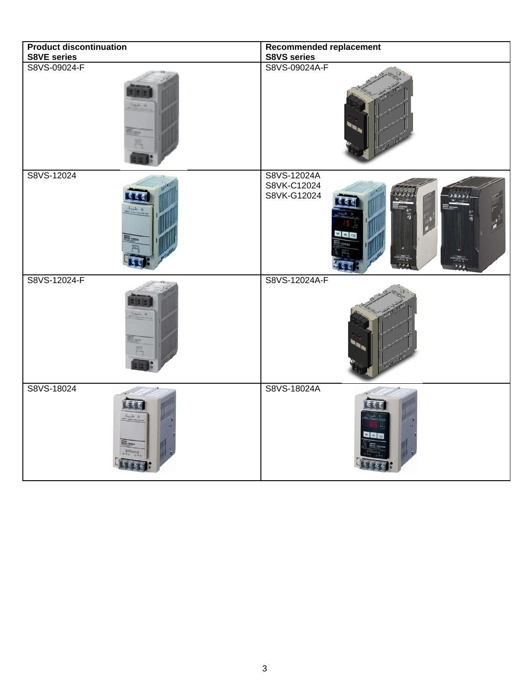| <b>Product discontinuation</b>          | Recommended replacement                   |  |  |
|-----------------------------------------|-------------------------------------------|--|--|
| <b>S8VE series</b>                      | S8VS series                               |  |  |
| S8VS-09024-F                            | S8VS-09024A-F                             |  |  |
| S8VS-12024                              | S8VS-12024A<br>S8VK-C12024<br>S8VK-G12024 |  |  |
| S8VS-12024-F<br>$L_{\alpha,l_1,\alpha}$ | S8VS-12024A-F                             |  |  |
| S8VS-18024<br>VS-18024                  | S8VS-18024A                               |  |  |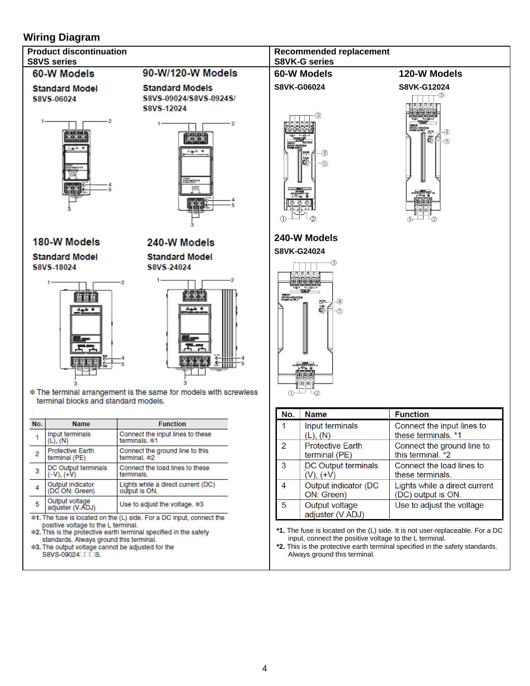# **Wiring Diagram**



\*3. The output voltage cannot be adjusted for the S8VS-09024

Always ground this terminal.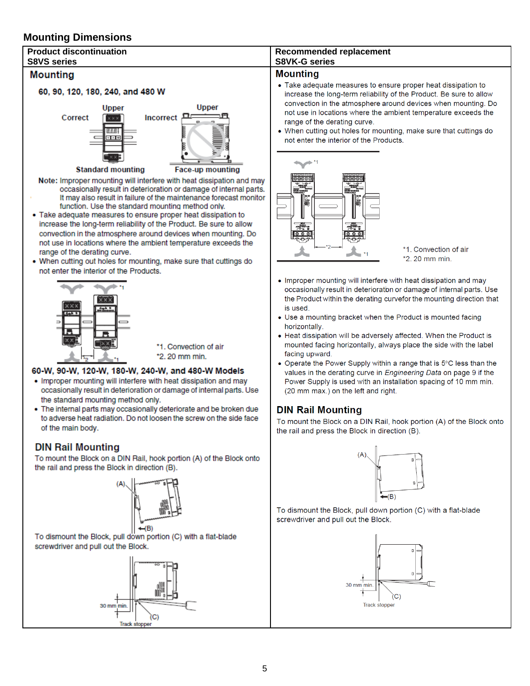# **Mounting Dimensions**



- Use a mounting bracket when the Product is mounted facing horizontally.
- Heat dissipation will be adversely affected. When the Product is mounted facing horizontally, always place the side with the label facing upward.
- Operate the Power Supply within a range that is 5°C less than the values in the derating curve in Engineering Data on page 9 if the Power Supply is used with an installation spacing of 10 mm min. (20 mm max.) on the left and right.

# **DIN Rail Mounting**

To mount the Block on a DIN Rail, hook portion (A) of the Block onto the rail and press the Block in direction (B).



To dismount the Block, pull down portion (C) with a flat-blade screwdriver and pull out the Block.





To dismount the Block, pull down portion (C) with a flat-blade screwdriver and pull out the Block.



\*1. Convection of air \*2.20 mm min.

#### 60-W, 90-W, 120-W, 180-W, 240-W, and 480-W Models

- . Improper mounting will interfere with heat dissipation and may occasionally result in deterioration or damage of internal parts. Use the standard mounting method only.
- . The internal parts may occasionally deteriorate and be broken due to adverse heat radiation. Do not loosen the screw on the side face of the main body.

### **DIN Rail Mounting**

To mount the Block on a DIN Rail, hook portion (A) of the Block onto the rail and press the Block in direction (B).

5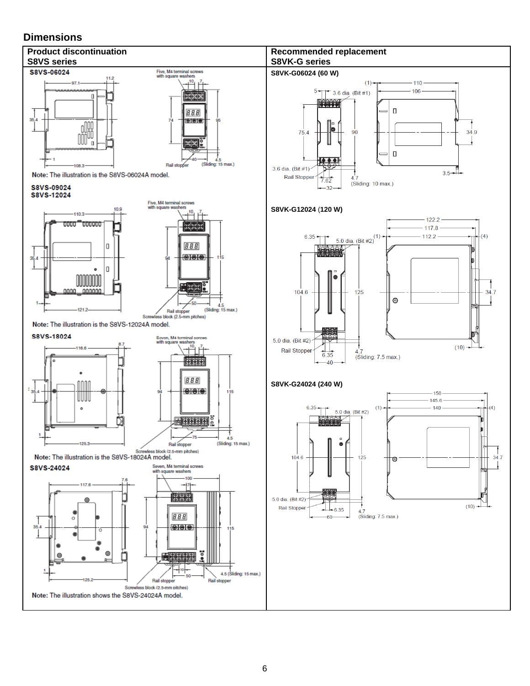## **Dimensions**

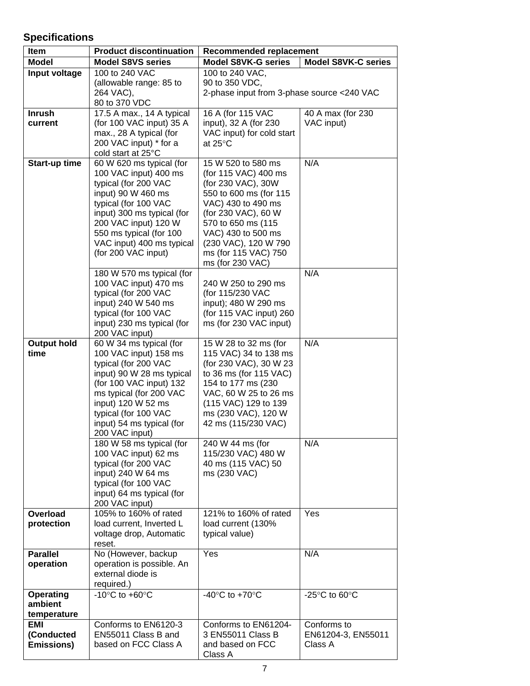# **Specifications**

| Item               | <b>Product discontinuation</b>                                     | Recommended replacement                              |                                                     |
|--------------------|--------------------------------------------------------------------|------------------------------------------------------|-----------------------------------------------------|
| <b>Model</b>       | <b>Model S8VS series</b>                                           | <b>Model S8VK-G series</b>                           | <b>Model S8VK-C series</b>                          |
| Input voltage      | 100 to 240 VAC                                                     | 100 to 240 VAC,                                      |                                                     |
|                    | (allowable range: 85 to                                            | 90 to 350 VDC,                                       |                                                     |
|                    | 264 VAC),                                                          | 2-phase input from 3-phase source <240 VAC           |                                                     |
|                    | 80 to 370 VDC                                                      |                                                      |                                                     |
| <b>Inrush</b>      | 17.5 A max., 14 A typical                                          | 16 A (for 115 VAC                                    | 40 A max (for 230                                   |
| current            | (for 100 VAC input) 35 A                                           | input), 32 A (for 230                                | VAC input)                                          |
|                    | max., 28 A typical (for                                            | VAC input) for cold start                            |                                                     |
|                    | 200 VAC input) * for a                                             | at 25°C                                              |                                                     |
|                    | cold start at 25°C                                                 |                                                      |                                                     |
| Start-up time      | 60 W 620 ms typical (for                                           | 15 W 520 to 580 ms                                   | N/A                                                 |
|                    | 100 VAC input) 400 ms                                              | (for 115 VAC) 400 ms                                 |                                                     |
|                    | typical (for 200 VAC<br>input) 90 W 460 ms                         | (for 230 VAC), 30W<br>550 to 600 ms (for 115         |                                                     |
|                    | typical (for 100 VAC                                               | VAC) 430 to 490 ms                                   |                                                     |
|                    | input) 300 ms typical (for                                         | (for 230 VAC), 60 W                                  |                                                     |
|                    | 200 VAC input) 120 W                                               | 570 to 650 ms (115)                                  |                                                     |
|                    | 550 ms typical (for 100                                            | VAC) 430 to 500 ms                                   |                                                     |
|                    | VAC input) 400 ms typical                                          | (230 VAC), 120 W 790                                 |                                                     |
|                    | (for 200 VAC input)                                                | ms (for 115 VAC) 750                                 |                                                     |
|                    |                                                                    | ms (for 230 VAC)                                     |                                                     |
|                    | 180 W 570 ms typical (for                                          |                                                      | N/A                                                 |
|                    | 100 VAC input) 470 ms                                              | 240 W 250 to 290 ms                                  |                                                     |
|                    | typical (for 200 VAC                                               | (for 115/230 VAC                                     |                                                     |
|                    | input) 240 W 540 ms                                                | input); 480 W 290 ms                                 |                                                     |
|                    | typical (for 100 VAC                                               | (for 115 VAC input) 260                              |                                                     |
|                    | input) 230 ms typical (for                                         | ms (for 230 VAC input)                               |                                                     |
| <b>Output hold</b> | 200 VAC input)<br>60 W 34 ms typical (for                          | 15 W 28 to 32 ms (for                                | N/A                                                 |
| time               | 100 VAC input) 158 ms                                              | 115 VAC) 34 to 138 ms                                |                                                     |
|                    | typical (for 200 VAC                                               | (for 230 VAC), 30 W 23                               |                                                     |
|                    | input) 90 W 28 ms typical                                          | to 36 ms (for 115 VAC)                               |                                                     |
|                    | (for 100 VAC input) 132                                            | 154 to 177 ms (230                                   |                                                     |
|                    | ms typical (for 200 VAC                                            | VAC, 60 W 25 to 26 ms                                |                                                     |
|                    | input) 120 W 52 ms                                                 | (115 VAC) 129 to 139                                 |                                                     |
|                    | typical (for 100 VAC                                               | ms (230 VAC), 120 W                                  |                                                     |
|                    | input) 54 ms typical (for                                          | 42 ms (115/230 VAC)                                  |                                                     |
|                    | 200 VAC input)                                                     |                                                      |                                                     |
|                    | 180 W 58 ms typical (for                                           | 240 W 44 ms (for                                     | N/A                                                 |
|                    | 100 VAC input) 62 ms                                               | 115/230 VAC) 480 W                                   |                                                     |
|                    | typical (for 200 VAC<br>input) 240 W 64 ms                         | 40 ms (115 VAC) 50<br>ms (230 VAC)                   |                                                     |
|                    | typical (for 100 VAC                                               |                                                      |                                                     |
|                    | input) 64 ms typical (for                                          |                                                      |                                                     |
|                    | 200 VAC input)                                                     |                                                      |                                                     |
| Overload           | 105% to 160% of rated                                              | 121% to 160% of rated                                | Yes                                                 |
| protection         | load current, Inverted L                                           | load current (130%                                   |                                                     |
|                    | voltage drop, Automatic                                            | typical value)                                       |                                                     |
|                    | reset.                                                             |                                                      |                                                     |
| <b>Parallel</b>    | No (However, backup                                                | Yes                                                  | N/A                                                 |
| operation          | operation is possible. An                                          |                                                      |                                                     |
|                    | external diode is                                                  |                                                      |                                                     |
| <b>Operating</b>   | required.)<br>-10 $\mathrm{^{\circ}C}$ to +60 $\mathrm{^{\circ}C}$ | -40 $\mathrm{^{\circ}C}$ to +70 $\mathrm{^{\circ}C}$ | -25 $\mathrm{^{\circ}C}$ to 60 $\mathrm{^{\circ}C}$ |
| ambient            |                                                                    |                                                      |                                                     |
| temperature        |                                                                    |                                                      |                                                     |
| EMI                | Conforms to EN6120-3                                               | Conforms to EN61204-                                 | Conforms to                                         |
| (Conducted         | EN55011 Class B and                                                | 3 EN55011 Class B                                    | EN61204-3, EN55011                                  |
| <b>Emissions)</b>  | based on FCC Class A                                               | and based on FCC                                     | Class A                                             |
|                    |                                                                    | Class A                                              |                                                     |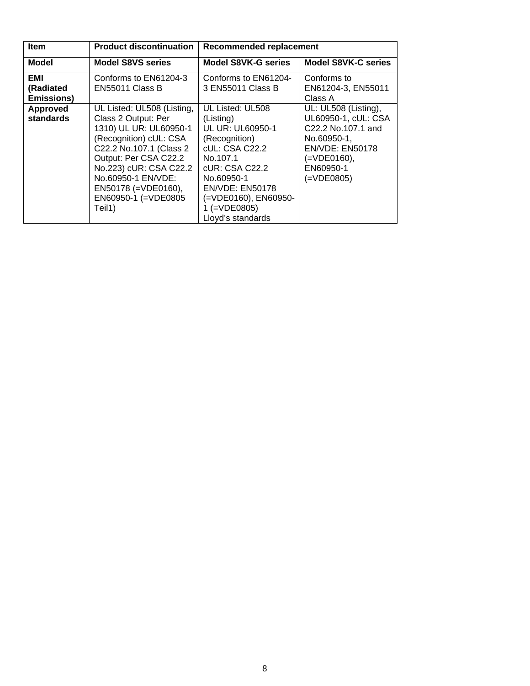| <b>Item</b>                            | <b>Product discontinuation</b>                                                                                                                                                                                                                                       | <b>Recommended replacement</b>                                                                                                                                                                                                 |                                                                                                                                                                        |
|----------------------------------------|----------------------------------------------------------------------------------------------------------------------------------------------------------------------------------------------------------------------------------------------------------------------|--------------------------------------------------------------------------------------------------------------------------------------------------------------------------------------------------------------------------------|------------------------------------------------------------------------------------------------------------------------------------------------------------------------|
| <b>Model</b>                           | <b>Model S8VS series</b>                                                                                                                                                                                                                                             | <b>Model S8VK-G series</b>                                                                                                                                                                                                     | <b>Model S8VK-C series</b>                                                                                                                                             |
| EMI<br>(Radiated<br><b>Emissions</b> ) | Conforms to EN61204-3<br>EN55011 Class B                                                                                                                                                                                                                             | Conforms to EN61204-<br>3 EN55011 Class B                                                                                                                                                                                      | Conforms to<br>EN61204-3, EN55011<br>Class A                                                                                                                           |
| <b>Approved</b><br>standards           | UL Listed: UL508 (Listing,<br>Class 2 Output: Per<br>1310) UL UR: UL60950-1<br>(Recognition) cUL: CSA<br>C22.2 No.107.1 (Class 2<br>Output: Per CSA C22.2<br>No.223) cUR: CSA C22.2<br>No.60950-1 EN/VDE:<br>$EN50178 (= VDE0160),$<br>EN60950-1 (=VDE0805<br>Teil1) | UL Listed: UL508<br>(Listing)<br><b>UL UR: UL60950-1</b><br>(Recognition)<br>cUL: CSA C22.2<br>No.107.1<br>cUR: CSA C22.2<br>No.60950-1<br><b>EN/VDE: EN50178</b><br>(=VDE0160), EN60950-<br>1 (=VDE0805)<br>Lloyd's standards | UL: UL508 (Listing),<br>UL60950-1, cUL: CSA<br>C22.2 No.107.1 and<br>No.60950-1,<br><b>EN/VDE: EN50178</b><br>$(=\text{VDE0160}),$<br>EN60950-1<br>$(=\text{VDE}0805)$ |